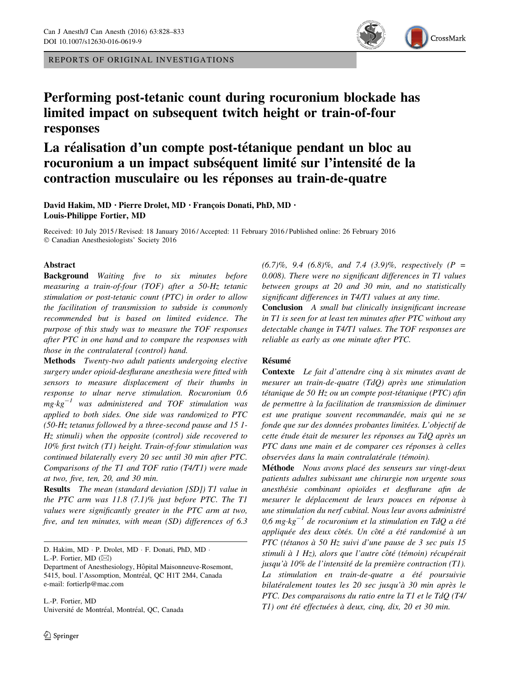REPORTS OF ORIGINAL INVESTIGATIONS



# Performing post-tetanic count during rocuronium blockade has limited impact on subsequent twitch height or train-of-four responses

# La réalisation d'un compte post-tétanique pendant un bloc au rocuronium a un impact subséquent limité sur l'intensité de la contraction musculaire ou les réponses au train-de-quatre

David Hakim, MD · Pierre Drolet, MD · François Donati, PhD, MD · Louis-Philippe Fortier, MD

Received: 10 July 2015 / Revised: 18 January 2016 / Accepted: 11 February 2016 / Published online: 26 February 2016 - Canadian Anesthesiologists' Society 2016

## Abstract

Background Waiting five to six minutes before measuring a train-of-four (TOF) after a 50-Hz tetanic stimulation or post-tetanic count (PTC) in order to allow the facilitation of transmission to subside is commonly recommended but is based on limited evidence. The purpose of this study was to measure the TOF responses after PTC in one hand and to compare the responses with those in the contralateral (control) hand.

Methods Twenty-two adult patients undergoing elective surgery under opioid-desflurane anesthesia were fitted with sensors to measure displacement of their thumbs in response to ulnar nerve stimulation. Rocuronium 0.6  $mg \cdot kg^{-1}$  was administered and TOF stimulation was applied to both sides. One side was randomized to PTC (50-Hz tetanus followed by a three-second pause and 15 1- Hz stimuli) when the opposite (control) side recovered to 10% first twitch (T1) height. Train-of-four stimulation was continued bilaterally every 20 sec until 30 min after PTC. Comparisons of the T1 and TOF ratio (T4/T1) were made at two, five, ten, 20, and 30 min.

Results The mean (standard deviation [SD]) T1 value in the PTC arm was 11.8 (7.1)% just before PTC. The T1 values were significantly greater in the PTC arm at two, five, and ten minutes, with mean (SD) differences of 6.3

D. Hakim, MD · P. Drolet, MD · F. Donati, PhD, MD ·

L.-P. Fortier, MD  $(\boxtimes)$ 

L.-P. Fortier, MD Université de Montréal, Montréal, OC, Canada  $(6.7)\%$ , 9.4  $(6.8)\%$ , and 7.4  $(3.9)\%$ , respectively  $(P =$ 0.008). There were no significant differences in T1 values between groups at 20 and 30 min, and no statistically significant differences in T4/T1 values at any time.

Conclusion A small but clinically insignificant increase in T1 is seen for at least ten minutes after PTC without any detectable change in T4/T1 values. The TOF responses are reliable as early as one minute after PTC.

## Résumé

Contexte Le fait d'attendre cinq à six minutes avant de mesurer un train-de-quatre  $(TdQ)$  après une stimulation tétanique de 50 Hz ou un compte post-tétanique (PTC) afin de permettre à la facilitation de transmission de diminuer est une pratique souvent recommandée, mais qui ne se fonde que sur des données probantes limitées. L'objectif de cette étude était de mesurer les réponses au TdO après un PTC dans une main et de comparer ces réponses à celles observées dans la main contralatérale (témoin).

Méthode Nous avons placé des senseurs sur vingt-deux patients adultes subissant une chirurgie non urgente sous anesthésie combinant opioïdes et desflurane afin de mesurer le déplacement de leurs pouces en réponse à une stimulation du nerf cubital. Nous leur avons administré 0,6 mg $\cdot$ kg<sup>-1</sup> de rocuronium et la stimulation en TdQ a été appliquée des deux côtés. Un côté a été randomisé à un PTC (tétanos à 50 Hz suivi d'une pause de 3 sec puis 15 stimuli à 1 Hz), alors que l'autre côté (témoin) récupérait jusqu'à 10% de l'intensité de la première contraction (T1). La stimulation en train-de-quatre a été poursuivie bilatéralement toutes les 20 sec jusqu'à 30 min après le PTC. Des comparaisons du ratio entre la T1 et le TdQ (T4/ T1) ont été effectuées à deux, cinq, dix, 20 et 30 min.

Department of Anesthesiology, Hôpital Maisonneuve-Rosemont, 5415, boul. l'Assomption, Montréal, QC H1T 2M4, Canada e-mail: fortierlp@mac.com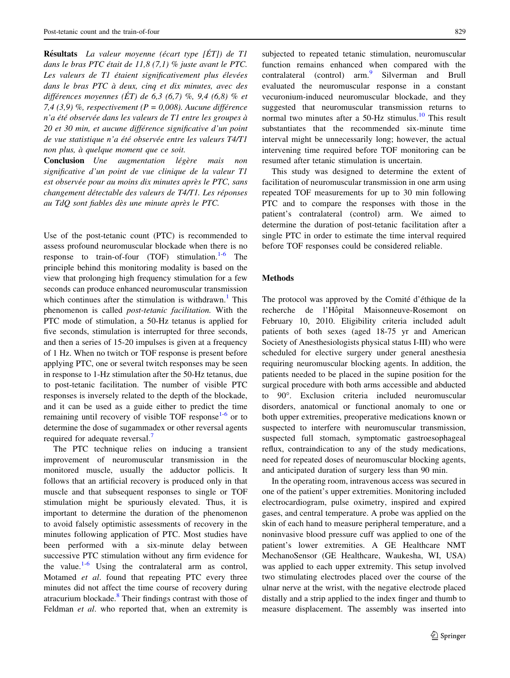$R$ ésultats La valeur moyenne (écart type  $[\hat{E}T]$ ) de T1 dans le bras PTC était de 11,8  $(7,1)$  % juste avant le PTC. Les valeurs de T1 étaient significativement plus élevées dans le bras PTC à deux, cinq et dix minutes, avec des différences moyennes (ÉT) de 6,3 (6,7) %, 9,4 (6,8) % et 7,4 (3,9) %, respectivement ( $P = 0,008$ ). Aucune différence n'a été observée dans les valeurs de T1 entre les groupes à 20 et 30 min, et aucune différence significative d'un point de vue statistique n'a été observée entre les valeurs T4/T1 non plus, à quelque moment que ce soit.

**Conclusion** Une augmentation légère mais non significative d'un point de vue clinique de la valeur T1 est observée pour au moins dix minutes après le PTC, sans changement détectable des valeurs de T4/T1. Les réponses au TdQ sont fiables dès une minute après le PTC.

Use of the post-tetanic count (PTC) is recommended to assess profound neuromuscular blockade when there is no response to train-of-four (TOF) stimulation.<sup>[1-6](#page-5-0)</sup> The principle behind this monitoring modality is based on the view that prolonging high frequency stimulation for a few seconds can produce enhanced neuromuscular transmission which continues after the stimulation is withdrawn.<sup>[1](#page-5-0)</sup> This phenomenon is called post-tetanic facilitation. With the PTC mode of stimulation, a 50-Hz tetanus is applied for five seconds, stimulation is interrupted for three seconds, and then a series of 15-20 impulses is given at a frequency of 1 Hz. When no twitch or TOF response is present before applying PTC, one or several twitch responses may be seen in response to 1-Hz stimulation after the 50-Hz tetanus, due to post-tetanic facilitation. The number of visible PTC responses is inversely related to the depth of the blockade, and it can be used as a guide either to predict the time remaining until recovery of visible TOF response<sup>[1](#page-5-0)-[6](#page-5-0)</sup> or to determine the dose of sugammadex or other reversal agents required for adequate reversal.<sup>[7](#page-5-0)</sup>

The PTC technique relies on inducing a transient improvement of neuromuscular transmission in the monitored muscle, usually the adductor pollicis. It follows that an artificial recovery is produced only in that muscle and that subsequent responses to single or TOF stimulation might be spuriously elevated. Thus, it is important to determine the duration of the phenomenon to avoid falsely optimistic assessments of recovery in the minutes following application of PTC. Most studies have been performed with a six-minute delay between successive PTC stimulation without any firm evidence for the value.<sup>[1](#page-5-0)-[6](#page-5-0)</sup> Using the contralateral arm as control, Motamed *et al.* found that repeating PTC every three minutes did not affect the time course of recovery during atracurium blockade.<sup>[8](#page-5-0)</sup> Their findings contrast with those of Feldman et al. who reported that, when an extremity is

subjected to repeated tetanic stimulation, neuromuscular function remains enhanced when compared with the contralateral (control) arm.<sup>[9](#page-5-0)</sup> Silverman and Brull evaluated the neuromuscular response in a constant vecuronium-induced neuromuscular blockade, and they suggested that neuromuscular transmission returns to normal two minutes after a  $50$ -Hz stimulus.<sup>[10](#page-5-0)</sup> This result substantiates that the recommended six-minute time interval might be unnecessarily long; however, the actual intervening time required before TOF monitoring can be resumed after tetanic stimulation is uncertain.

This study was designed to determine the extent of facilitation of neuromuscular transmission in one arm using repeated TOF measurements for up to 30 min following PTC and to compare the responses with those in the patient's contralateral (control) arm. We aimed to determine the duration of post-tetanic facilitation after a single PTC in order to estimate the time interval required before TOF responses could be considered reliable.

### Methods

The protocol was approved by the Comité d'éthique de la recherche de l'Hôpital Maisonneuve-Rosemont on February 10, 2010. Eligibility criteria included adult patients of both sexes (aged 18-75 yr and American Society of Anesthesiologists physical status I-III) who were scheduled for elective surgery under general anesthesia requiring neuromuscular blocking agents. In addition, the patients needed to be placed in the supine position for the surgical procedure with both arms accessible and abducted to 90. Exclusion criteria included neuromuscular disorders, anatomical or functional anomaly to one or both upper extremities, preoperative medications known or suspected to interfere with neuromuscular transmission, suspected full stomach, symptomatic gastroesophageal reflux, contraindication to any of the study medications, need for repeated doses of neuromuscular blocking agents, and anticipated duration of surgery less than 90 min.

In the operating room, intravenous access was secured in one of the patient's upper extremities. Monitoring included electrocardiogram, pulse oximetry, inspired and expired gases, and central temperature. A probe was applied on the skin of each hand to measure peripheral temperature, and a noninvasive blood pressure cuff was applied to one of the patient's lower extremities. A GE Healthcare NMT MechanoSensor (GE Healthcare, Waukesha, WI, USA) was applied to each upper extremity. This setup involved two stimulating electrodes placed over the course of the ulnar nerve at the wrist, with the negative electrode placed distally and a strip applied to the index finger and thumb to measure displacement. The assembly was inserted into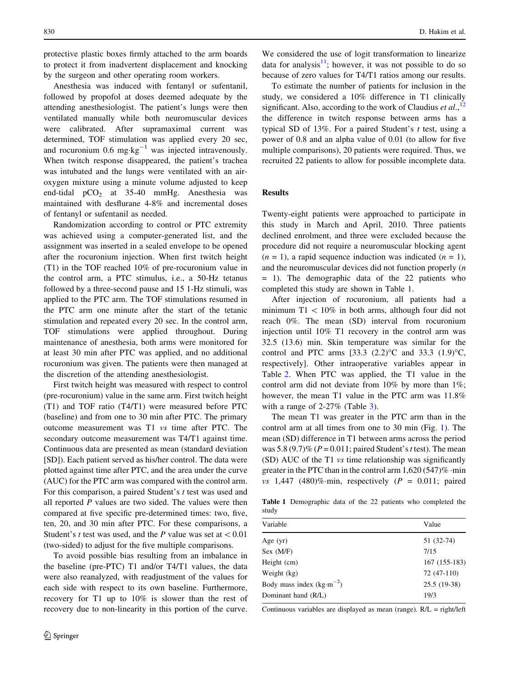protective plastic boxes firmly attached to the arm boards to protect it from inadvertent displacement and knocking by the surgeon and other operating room workers.

Anesthesia was induced with fentanyl or sufentanil, followed by propofol at doses deemed adequate by the attending anesthesiologist. The patient's lungs were then ventilated manually while both neuromuscular devices were calibrated. After supramaximal current was determined, TOF stimulation was applied every 20 sec, and rocuronium 0.6 mg $\text{kg}^{-1}$  was injected intravenously. When twitch response disappeared, the patient's trachea was intubated and the lungs were ventilated with an airoxygen mixture using a minute volume adjusted to keep end-tidal  $pCO<sub>2</sub>$  at 35-40 mmHg. Anesthesia was maintained with desflurane 4-8% and incremental doses of fentanyl or sufentanil as needed.

Randomization according to control or PTC extremity was achieved using a computer-generated list, and the assignment was inserted in a sealed envelope to be opened after the rocuronium injection. When first twitch height (T1) in the TOF reached 10% of pre-rocuronium value in the control arm, a PTC stimulus, i.e., a 50-Hz tetanus followed by a three-second pause and 15 1-Hz stimuli, was applied to the PTC arm. The TOF stimulations resumed in the PTC arm one minute after the start of the tetanic stimulation and repeated every 20 sec. In the control arm, TOF stimulations were applied throughout. During maintenance of anesthesia, both arms were monitored for at least 30 min after PTC was applied, and no additional rocuronium was given. The patients were then managed at the discretion of the attending anesthesiologist.

First twitch height was measured with respect to control (pre-rocuronium) value in the same arm. First twitch height (T1) and TOF ratio (T4/T1) were measured before PTC (baseline) and from one to 30 min after PTC. The primary outcome measurement was T1 vs time after PTC. The secondary outcome measurement was T4/T1 against time. Continuous data are presented as mean (standard deviation [SD]). Each patient served as his/her control. The data were plotted against time after PTC, and the area under the curve (AUC) for the PTC arm was compared with the control arm. For this comparison, a paired Student's t test was used and all reported  $P$  values are two sided. The values were then compared at five specific pre-determined times: two, five, ten, 20, and 30 min after PTC. For these comparisons, a Student's t test was used, and the P value was set at  $< 0.01$ (two-sided) to adjust for the five multiple comparisons.

To avoid possible bias resulting from an imbalance in the baseline (pre-PTC) T1 and/or T4/T1 values, the data were also reanalyzed, with readjustment of the values for each side with respect to its own baseline. Furthermore, recovery for T1 up to 10% is slower than the rest of recovery due to non-linearity in this portion of the curve.

We considered the use of logit transformation to linearize data for analysis $11$ ; however, it was not possible to do so because of zero values for T4/T1 ratios among our results.

To estimate the number of patients for inclusion in the study, we considered a 10% difference in T1 clinically significant. Also, according to the work of Claudius et  $al$ .<sup>[12](#page-5-0)</sup> the difference in twitch response between arms has a typical SD of 13%. For a paired Student's t test, using a power of 0.8 and an alpha value of 0.01 (to allow for five multiple comparisons), 20 patients were required. Thus, we recruited 22 patients to allow for possible incomplete data.

### Results

Twenty-eight patients were approached to participate in this study in March and April, 2010. Three patients declined enrolment, and three were excluded because the procedure did not require a neuromuscular blocking agent  $(n = 1)$ , a rapid sequence induction was indicated  $(n = 1)$ , and the neuromuscular devices did not function properly (n  $= 1$ ). The demographic data of the 22 patients who completed this study are shown in Table 1.

After injection of rocuronium, all patients had a minimum  $T1 < 10\%$  in both arms, although four did not reach 0%. The mean (SD) interval from rocuronium injection until 10% T1 recovery in the control arm was 32.5 (13.6) min. Skin temperature was similar for the control and PTC arms [33.3 (2.2)<sup>o</sup>C and 33.3 (1.9)<sup>o</sup>C, respectively]. Other intraoperative variables appear in Table [2](#page-3-0). When PTC was applied, the T1 value in the control arm did not deviate from 10% by more than 1%; however, the mean T1 value in the PTC arm was 11.8% with a range of  $2-27\%$  (Table [3\)](#page-3-0).

The mean T1 was greater in the PTC arm than in the control arm at all times from one to 30 min (Fig. [1](#page-3-0)). The mean (SD) difference in T1 between arms across the period was  $5.8(9.7)\%$  ( $P = 0.011$ ; paired Student's t test). The mean (SD) AUC of the T1 vs time relationship was significantly greater in the PTC than in the control arm 1,620 (547)% -min vs 1,447 (480)% min, respectively ( $P = 0.011$ ; paired

Table 1 Demographic data of the 22 patients who completed the study

| Variable                   | Value         |  |
|----------------------------|---------------|--|
| Age $(yr)$                 | 51 (32-74)    |  |
| Sex (M/F)                  | 7/15          |  |
| Height (cm)                | 167 (155-183) |  |
| Weight (kg)                | 72 (47-110)   |  |
| Body mass index $(kg·m-2)$ | 25.5 (19-38)  |  |
| Dominant hand (R/L)        | 19/3          |  |
|                            |               |  |

Continuous variables are displayed as mean (range). R/L = right/left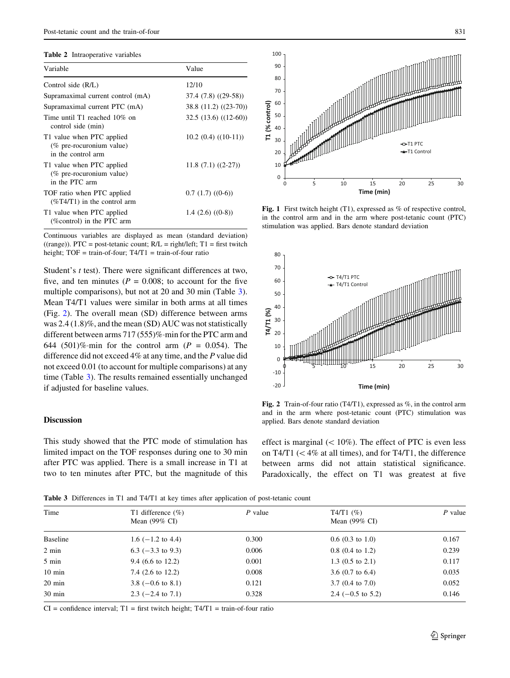#### <span id="page-3-0"></span>Table 2 Intraoperative variables

| Variable                                                                    | Value                 |  |
|-----------------------------------------------------------------------------|-----------------------|--|
| Control side (R/L)                                                          | 12/10                 |  |
| Supramaximal current control (mA)                                           | $37.4(7.8)(29-58)$    |  |
| Supramaximal current PTC (mA)                                               | 38.8 (11.2) ((23-70)) |  |
| Time until T1 reached $10\%$ on<br>control side (min)                       | $32.5(13.6)((12-60))$ |  |
| T1 value when PTC applied<br>(% pre-rocuronium value)<br>in the control arm | $10.2(0.4)(10-11)$    |  |
| T1 value when PTC applied<br>(% pre-rocuronium value)<br>in the PTC arm     | $11.8(7.1)(2-27)$     |  |
| TOF ratio when PTC applied<br>$(\%T4/T1)$ in the control arm                | 0.7(1.7)(0.6)         |  |
| T1 value when PTC applied<br>(%control) in the PTC arm                      | 1.4 $(2.6)$ $((0-8))$ |  |

Continuous variables are displayed as mean (standard deviation)  $((range))$ . PTC = post-tetanic count;  $R/L = right/left; T1 = first$  twitch height; TOF = train-of-four; T4/T1 = train-of-four ratio

Student's *t* test). There were significant differences at two, five, and ten minutes ( $P = 0.008$ ; to account for the five multiple comparisons), but not at 20 and 30 min (Table 3). Mean T4/T1 values were similar in both arms at all times (Fig. 2). The overall mean (SD) difference between arms was 2.4 (1.8)%, and the mean (SD) AUC was not statistically different between arms 717 (555)%-min for the PTC arm and 644 (501)% min for the control arm ( $P = 0.054$ ). The difference did not exceed 4% at any time, and the P value did not exceed 0.01 (to account for multiple comparisons) at any time (Table 3). The results remained essentially unchanged if adjusted for baseline values.

### Discussion

This study showed that the PTC mode of stimulation has limited impact on the TOF responses during one to 30 min after PTC was applied. There is a small increase in T1 at two to ten minutes after PTC, but the magnitude of this



Fig. 1 First twitch height (T1), expressed as % of respective control, in the control arm and in the arm where post-tetanic count (PTC) stimulation was applied. Bars denote standard deviation



Fig. 2 Train-of-four ratio (T4/T1), expressed as %, in the control arm and in the arm where post-tetanic count (PTC) stimulation was applied. Bars denote standard deviation

effect is marginal  $(< 10\%)$ . The effect of PTC is even less on T4/T1 ( $\lt$  4% at all times), and for T4/T1, the difference between arms did not attain statistical significance. Paradoxically, the effect on T1 was greatest at five

Table 3 Differences in T1 and T4/T1 at key times after application of post-tetanic count

| Time             | T1 difference $(\% )$<br>Mean $(99\% \text{ CI})$ | $P$ value | $T4/T1$ (%)<br>Mean $(99\% \text{ CI})$ | $P$ value |  |
|------------------|---------------------------------------------------|-----------|-----------------------------------------|-----------|--|
| Baseline         | $1.6$ ( $-1.2$ to 4.4)                            | 0.300     | $0.6(0.3 \text{ to } 1.0)$              | 0.167     |  |
| 2 min            | $6.3$ (-3.3 to 9.3)                               | 0.006     | $0.8$ (0.4 to 1.2)                      | 0.239     |  |
| 5 min            | 9.4 $(6.6 \text{ to } 12.2)$                      | 0.001     | 1.3 $(0.5 \text{ to } 2.1)$             | 0.117     |  |
| $10 \text{ min}$ | 7.4 $(2.6 \text{ to } 12.2)$                      | 0.008     | 3.6 $(0.7 \text{ to } 6.4)$             | 0.035     |  |
| $20 \text{ min}$ | 3.8 $(-0.6 \text{ to } 8.1)$                      | 0.121     | $3.7(0.4 \text{ to } 7.0)$              | 0.052     |  |
| $30 \text{ min}$ | $2.3$ (-2.4 to 7.1)                               | 0.328     | 2.4 $(-0.5 \text{ to } 5.2)$            | 0.146     |  |

 $CI =$  confidence interval;  $T1 =$  first twitch height;  $T4/T1 =$  train-of-four ratio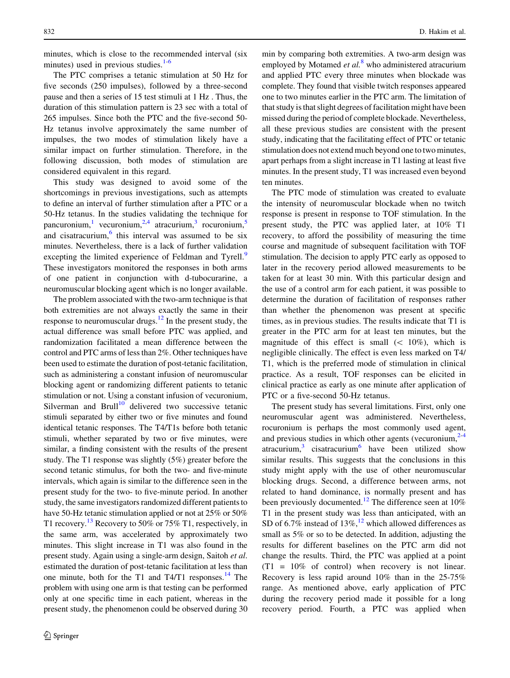minutes, which is close to the recommended interval (six minutes) used in previous studies. $1-6$ 

The PTC comprises a tetanic stimulation at 50 Hz for five seconds (250 impulses), followed by a three-second pause and then a series of 15 test stimuli at 1 Hz . Thus, the duration of this stimulation pattern is 23 sec with a total of 265 impulses. Since both the PTC and the five-second 50- Hz tetanus involve approximately the same number of impulses, the two modes of stimulation likely have a similar impact on further stimulation. Therefore, in the following discussion, both modes of stimulation are considered equivalent in this regard.

This study was designed to avoid some of the shortcomings in previous investigations, such as attempts to define an interval of further stimulation after a PTC or a 50-Hz tetanus. In the studies validating the technique for pancuronium,<sup>[1](#page-5-0)</sup> vecuronium,<sup>[2,4](#page-5-0)</sup> atracurium,<sup>[3](#page-5-0)</sup> rocuronium,<sup>[5](#page-5-0)</sup> and cisatracurium, $6$  this interval was assumed to be six minutes. Nevertheless, there is a lack of further validation excepting the limited experience of Feldman and Tyrell.<sup>[9](#page-5-0)</sup> These investigators monitored the responses in both arms of one patient in conjunction with d-tubocurarine, a neuromuscular blocking agent which is no longer available.

The problem associated with the two-arm technique is that both extremities are not always exactly the same in their response to neuromuscular drugs. $12 \text{ In the present study, the}$ actual difference was small before PTC was applied, and randomization facilitated a mean difference between the control and PTC arms of less than 2%. Other techniques have been used to estimate the duration of post-tetanic facilitation, such as administering a constant infusion of neuromuscular blocking agent or randomizing different patients to tetanic stimulation or not. Using a constant infusion of vecuronium, Silverman and Brull<sup>10</sup> delivered two successive tetanic stimuli separated by either two or five minutes and found identical tetanic responses. The T4/T1s before both tetanic stimuli, whether separated by two or five minutes, were similar, a finding consistent with the results of the present study. The T1 response was slightly (5%) greater before the second tetanic stimulus, for both the two- and five-minute intervals, which again is similar to the difference seen in the present study for the two- to five-minute period. In another study, the same investigators randomized different patients to have 50-Hz tetanic stimulation applied or not at 25% or 50% T1 recovery.<sup>13</sup> Recovery to 50% or 75% T1, respectively, in the same arm, was accelerated by approximately two minutes. This slight increase in T1 was also found in the present study. Again using a single-arm design, Saitoh et al. estimated the duration of post-tetanic facilitation at less than one minute, both for the T1 and T4/T1 responses. $^{14}$  The problem with using one arm is that testing can be performed only at one specific time in each patient, whereas in the present study, the phenomenon could be observed during 30

min by comparing both extremities. A two-arm design was employed by Motamed *et al.*<sup>[8](#page-5-0)</sup> who administered atracurium and applied PTC every three minutes when blockade was complete. They found that visible twitch responses appeared one to two minutes earlier in the PTC arm. The limitation of that study is that slight degrees of facilitation might have been missed during the period of complete blockade. Nevertheless, all these previous studies are consistent with the present study, indicating that the facilitating effect of PTC or tetanic stimulation does not extend much beyond one to two minutes, apart perhaps from a slight increase in T1 lasting at least five minutes. In the present study, T1 was increased even beyond ten minutes.

The PTC mode of stimulation was created to evaluate the intensity of neuromuscular blockade when no twitch response is present in response to TOF stimulation. In the present study, the PTC was applied later, at 10% T1 recovery, to afford the possibility of measuring the time course and magnitude of subsequent facilitation with TOF stimulation. The decision to apply PTC early as opposed to later in the recovery period allowed measurements to be taken for at least 30 min. With this particular design and the use of a control arm for each patient, it was possible to determine the duration of facilitation of responses rather than whether the phenomenon was present at specific times, as in previous studies. The results indicate that T1 is greater in the PTC arm for at least ten minutes, but the magnitude of this effect is small  $(< 10\%)$ , which is negligible clinically. The effect is even less marked on T4/ T1, which is the preferred mode of stimulation in clinical practice. As a result, TOF responses can be elicited in clinical practice as early as one minute after application of PTC or a five-second 50-Hz tetanus.

The present study has several limitations. First, only one neuromuscular agent was administered. Nevertheless, rocuronium is perhaps the most commonly used agent, and previous studies in which other agents (vecuronium, $2-4$  $2-4$ ) atracurium, $3$  cisatracurium<sup>[6](#page-5-0)</sup> have been utilized show similar results. This suggests that the conclusions in this study might apply with the use of other neuromuscular blocking drugs. Second, a difference between arms, not related to hand dominance, is normally present and has been previously documented.<sup>[12](#page-5-0)</sup> The difference seen at  $10\%$ T1 in the present study was less than anticipated, with an SD of 6.7% instead of 13%,<sup>[12](#page-5-0)</sup> which allowed differences as small as 5% or so to be detected. In addition, adjusting the results for different baselines on the PTC arm did not change the results. Third, the PTC was applied at a point  $(T1 = 10\%$  of control) when recovery is not linear. Recovery is less rapid around 10% than in the 25-75% range. As mentioned above, early application of PTC during the recovery period made it possible for a long recovery period. Fourth, a PTC was applied when